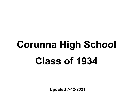# Corunna High School Class of 1934

Updated 7-12-2021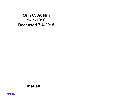Orin C. Austin 5-11-1916 Deceased 7-6-2015

Marian ...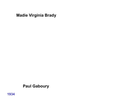Madie Virginia Brady

# Paul Gaboury

1934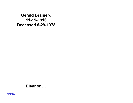Gerald Brainerd 11-15-1916 Deceased 6-29-1978

Eleanor …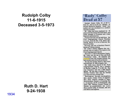# Rudolph Colby 11-6-1915 Deceased 3-5-1973

Ruth D. Hart 9-24-1938

#### 'Rudy' Colby Dead at 57

Rudolph (Rudy) Colby, 57, of 927 N. Park St., died at 12:55 p.m. Monday at Owosso Memorial Hospital. Death was sudden and was attributed to a cerebral vascular accident.

Mr. Colby had been employed for 20 vears with Harrelson Chevrolet Sales, was credit manager of Firestone and a John Hancock representative.

Funeral services will be held from the First Congregational Church Thursday at 2 p.m. with the Rev. H B. Oliver officiating. Burial is to be in Hillcrest Memorial Gardens.

The body will rest at Scarletts Funeral Home at 7:30 this evening.

Mr. Colby's family suggests that memorials may be made in his name to the First Congregational Church.

Born Nov. 6, 1915 in Shiawassee County, Mr. Colby was the son of Roy and Ruth (Parmenter) Colby. He attended and had resided most of his life in Owosso.

He and the former Ruth D. Hart were married Sept. 24, 1938 in Angola, Ind.

Mr. Colby was a deacon of the First Congregational Church, was a member of Masonic Lodge 81, F & AM, the Bay City Consistory and was a 32nd degree Mason. He was also a member of the Owosso Country Club and the Owosso City Club and was a former Elk.

Surviving are: His wife: two daughters, Mrs. James (Cindy) Price of Sagmaw, Mrs. Dave (Delora) Scanlon of Ionia: three brothers, Wayne A. of Lansing, Roy L. of Jackson. Joe W. of Kalamazoo; one sister, Mrs. Edward (Grace) Plomer of Detroit; six grandchildren; one aunt, Miss Lucille Colby of Owosso, and several nieces and nephews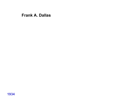## Frank A. Dallas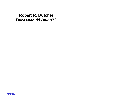Robert R. Dutcher Deceased 11-30-1976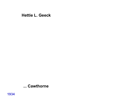Hettie L. Geeck

# ... Cawthorne

1934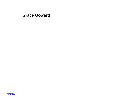Grace Goward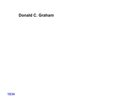# Donald C. Graham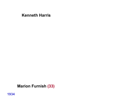#### Kenneth Harris

Marion Furnish (33)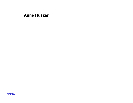# Anne Huszar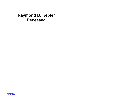# Raymond B. Kebler Deceased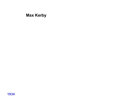# Max Kerby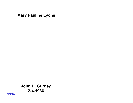Mary Pauline Lyons

John H. Gurney 2-4-1936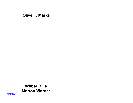Olive F. Marks

Wilber Bills Merton Warner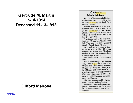# Gertrude M. Martin 3-14-1914 Deceased 11-13-1993

#### Clifford Melrose

#### Gertrude **Marie Melrose**

Age 79, of Corunna, died Saturday evening, Nov. 13, 1993, at the Shiawassee County Medical Care Facility, Corunna.

Funeral services will be held Tuesday, Nov. 16, at 2 p.m., from Smith Funcral Homes, Inc., Kribs Chapel, Corunna, with Pastor Terry Miller officiating. Burial will be in Pine Tree Cemetery.

Friends may call at the chapel today from 7-9 p.m. and Monday from 9-9. The family will be present Monday from 2-4 and 7-9 p.m.

Mrs. Melrose was born in Corunna on March 14, 1914, the daughter of Robert and Elizabeth (Hawn) Martin. She graduated from Corunna High School in 1932.

Mrs. Melrose was a retired nurse's aide.

She is survived by: Two daughters, Connie (Donald) Mitts of Owosso and Carol (Peter) Brandt of Owosso; her daughters' father, Clifford Melrose of Barnardsville, N.C.; a brother, James (Norma) Martin of Corunna; nine grandchildren; 17 great-grandchildren; and one greatgreat granddaughter.

She was predeceased by her parents, one sister and one brother.

Memorial contributions are suggested to the Oncology Department at The Memorial Healthcare Center, Owosso.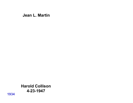#### Jean L. Martin

Harold Collison 4-23-1947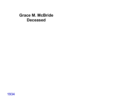Grace M. McBride Deceased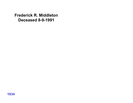Frederick R. Middleton Deceased 8-9-1991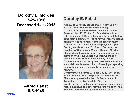# Dorothy E. Morden 7-25-1916 Deceased 1-11-2013



Alfred Pabst 5-5-1945

# Dorothy E. Pabst

Age 96, of Corunna, passed away Friday, Jan. 11, 2013, at Oliver Woods Retirement Village. A mass of Christian burial will be held at 10 a.m. Tuesday, Jan. 15, 2013, at St. Paul Catholic Church with Fr. Michael O'Brien officiating. Burial will follow at St. Mary's Cemetery. The family will receive friends at Nelson-House Funeral Home Monday from 2 to 4 p.m. and 6 to 8 p.m. with a rosary prayed at 7 p.m. Dorothy was born July 25, 1916, in Corunna, the daughter of Charles and Winnie (Kramer) Morden. She graduated from Corunna High School and was a member of St. Paul Catholic Church where she belonged to the St. Paul Altar Society and St. Catherine's Guild. Dorothy was also a member of the Memorial Healthcare Auxiliary. She enjoyed spending time with her family; especially her nieces and nephews.

Dorothy married Alfred J. Pabst May 5, 1945, at St. Paul Catholic Church. He predeceased her in 1977. She was employed with the U.S. Department of Agriculture as a chief clerk for 30 years. Dorothy is survived by her son Michael Pabst; many nieces, nephews and other loving family and friends. She was predeceased by her husband Alfred.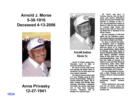# Arnold J. Morse 5-30-1916 Deceased 4-13-2006



# Anna Privasky 12-27-1941



#### Arnold Judson Morse Sr.

Age 89, of Owosso, passed away Thursday, April 13, 2006, at **Memorial Healthcare Center.** 

Mr. Morse and his wife owned and operated the Morse Motel in Mackinaw City for many years and was a master carpenter.

The funeral service will be held at 11 a.m. Tuesday, April 18, from Mowen Funeral Home - William A. Scarlett Memorial Chapel. 409 W. Main, Owosso, with the Rev. John Downing officiating. Cremation will follow the service with final rest at Pine Tree Cemetery. Corunna. Visitation will be Monday 2 to 4 and 6 to 8 p.m.

Mr. Morse was born in Corunna, May 30, 1916, the son of Glenn and Elenor (Pennelton) Morse. He and Anna Privasky were married in Chicago on Dec. 27. 1941. She preceded him in death on March 12, 1996. He was a graduate of Corunna High School and served in the Army Air Force during World War II, stationed in the Pacific Theater.

He was a member of VFW Post #9455 and the American Legion. His greatest pleasure was spending time with his family and friends.

He leaves to cherish his memory: daughter, Joyce S. (Stephen) Fisher of Owosso: son. Arnold J. (Patricia) Morse Jr. of Gaylord; four grandchildren, Robin Fisher of Chicago, Lisa Fisher Vallie of Owosso, Elizabeth (Allan) Wicks of New Mexico, Matthew (Susan) Morse of New Caan, Conn.; seven great-grandchildren, Alex, Blake and Cole Vallie of Owosso, D.J., Andrew, Grant and Tyler Morse of Connecticut; sister, Betty (Bill) Colvin of Florida; dear friends, Lloyd and Karen Horn, Carol Ford, and Jerry Kadera, all of Owosso.

He was predeceased by his parents; a sister, Virginia; and three brothers, Howard, Carson and Earl Morse.

Memorials are suggested to the Shiawassee County Humane Society.

Online condolences and guest book for the Morse family are available at www.mowenfuneralhomeinc.com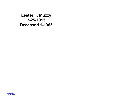Lester F. Muzzy 3-25-1915 Deceased 1-1965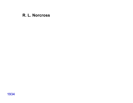# R. L. Norcross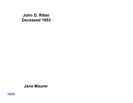John D. Ritter Deceased 1953

#### Jane Maurer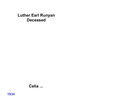# Luther Earl Runyan Deceased

# Celia ...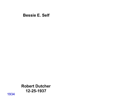#### Bessie E. Self

Robert Dutcher 12-25-1937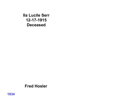Ila Lucile Serr 12-17-1915 Deceased

#### Fred Hosler

1934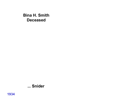Bina H. Smith Deceased

# ... Snider

1934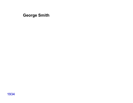George Smith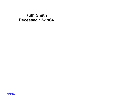# Ruth Smith Deceased 12-1964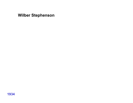Wilber Stephenson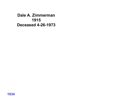Dale A. Zimmerman 1915 Deceased 4-26-1973